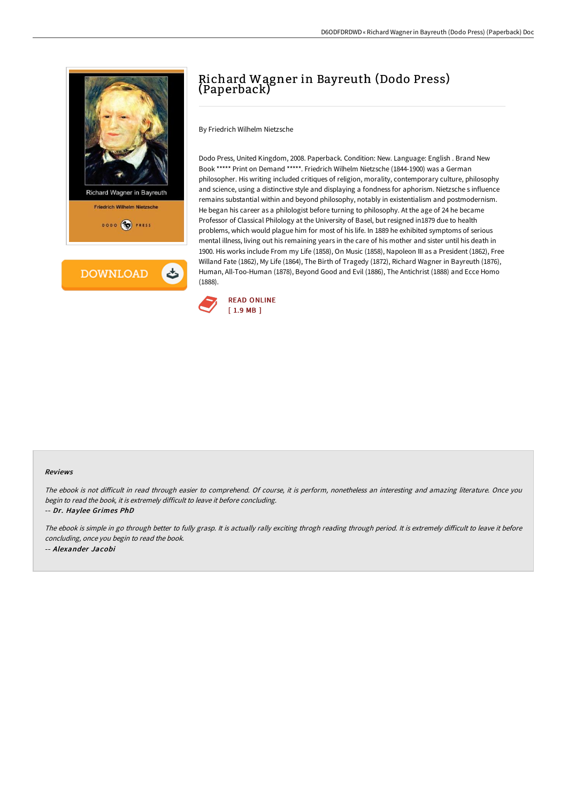



# Richard Wagner in Bayreuth (Dodo Press) (Paperback)

By Friedrich Wilhelm Nietzsche

Dodo Press, United Kingdom, 2008. Paperback. Condition: New. Language: English . Brand New Book \*\*\*\*\* Print on Demand \*\*\*\*\*. Friedrich Wilhelm Nietzsche (1844-1900) was a German philosopher. His writing included critiques of religion, morality, contemporary culture, philosophy and science, using a distinctive style and displaying a fondness for aphorism. Nietzsche s influence remains substantial within and beyond philosophy, notably in existentialism and postmodernism. He began his career as a philologist before turning to philosophy. At the age of 24 he became Professor of Classical Philology at the University of Basel, but resigned in1879 due to health problems, which would plague him for most of his life. In 1889 he exhibited symptoms of serious mental illness, living out his remaining years in the care of his mother and sister until his death in 1900. His works include From my Life (1858), On Music (1858), Napoleon III as a President (1862), Free Willand Fate (1862), My Life (1864), The Birth of Tragedy (1872), Richard Wagner in Bayreuth (1876), Human, All-Too-Human (1878), Beyond Good and Evil (1886), The Antichrist (1888) and Ecce Homo (1888).



#### Reviews

The ebook is not difficult in read through easier to comprehend. Of course, it is perform, nonetheless an interesting and amazing literature. Once you begin to read the book, it is extremely difficult to leave it before concluding.

-- Dr. Haylee Grimes PhD

The ebook is simple in go through better to fully grasp. It is actually rally exciting throgh reading through period. It is extremely difficult to leave it before concluding, once you begin to read the book. -- Alexander Jacobi